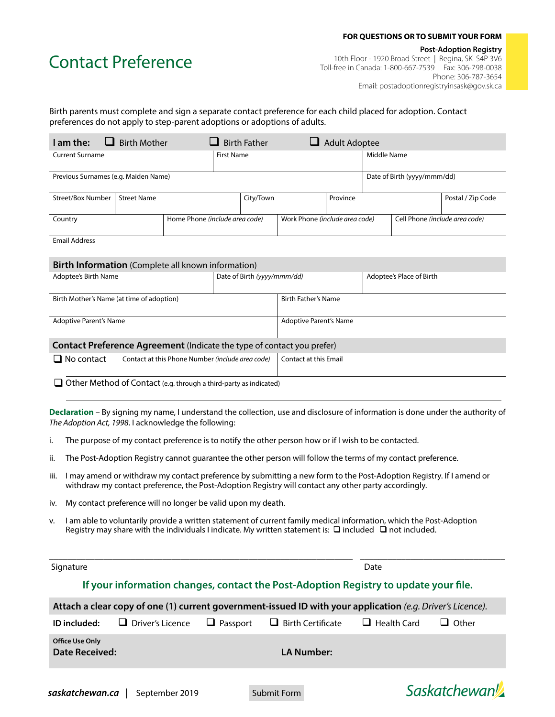#### **FOR QUESTIONS OR TO SUBMIT YOUR FORM**

# Contact Preference

 **Post-Adoption Registry** 10th Floor - 1920 Broad Street | Regina, SK S4P 3V6 Toll-free in Canada: 1-800-667-7539 | Fax: 306-798-0038 Phone: 306-787-3654 Email: postadoptionregistryinsask@gov.sk.ca

### Birth parents must complete and sign a separate contact preference for each child placed for adoption. Contact preferences do not apply to step-parent adoptions or adoptions of adults.

| I am the:                            | <b>Birth Mother</b> |                                | <b>Birth Father</b><br><b>Adult Adoptee</b> |                                |                             |                                |  |                   |
|--------------------------------------|---------------------|--------------------------------|---------------------------------------------|--------------------------------|-----------------------------|--------------------------------|--|-------------------|
| <b>Current Surname</b>               |                     |                                | <b>First Name</b>                           |                                |                             | Middle Name                    |  |                   |
| Previous Surnames (e.g. Maiden Name) |                     |                                |                                             |                                | Date of Birth (yyyy/mmm/dd) |                                |  |                   |
| Street/Box Number                    | <b>Street Name</b>  |                                | City/Town                                   |                                | Province                    |                                |  | Postal / Zip Code |
| Country                              |                     | Home Phone (include area code) |                                             | Work Phone (include area code) |                             | Cell Phone (include area code) |  |                   |
| <b>Email Address</b>                 |                     |                                |                                             |                                |                             |                                |  |                   |

#### **Birth Information** (Complete all known information)

| Adoptee's Birth Name                                                          |                                                                                                                       | Date of Birth (yyyy/mmm/dd) |                              | Adoptee's Place of Birth |  |  |  |
|-------------------------------------------------------------------------------|-----------------------------------------------------------------------------------------------------------------------|-----------------------------|------------------------------|--------------------------|--|--|--|
| Birth Mother's Name (at time of adoption)                                     |                                                                                                                       |                             | <b>Birth Father's Name</b>   |                          |  |  |  |
| <b>Adoptive Parent's Name</b>                                                 |                                                                                                                       |                             | Adoptive Parent's Name       |                          |  |  |  |
| <b>Contact Preference Agreement</b> (Indicate the type of contact you prefer) |                                                                                                                       |                             |                              |                          |  |  |  |
| $\Box$ No contact                                                             | Contact at this Phone Number (include area code)                                                                      |                             | <b>Contact at this Email</b> |                          |  |  |  |
|                                                                               | $\Box$ $\alpha$ decomposite the $\alpha$ expected in the second property of $\alpha$ is a second property of $\alpha$ |                             |                              |                          |  |  |  |

 $\Box$  Other Method of Contact (e.g. through a third-party as indicated)

**Declaration** – By signing my name, I understand the collection, use and disclosure of information is done under the authority of *The Adoption Act, 1998*. I acknowledge the following:

- i. The purpose of my contact preference is to notify the other person how or if I wish to be contacted.
- ii. The Post-Adoption Registry cannot guarantee the other person will follow the terms of my contact preference.
- iii. I may amend or withdraw my contact preference by submitting a new form to the Post-Adoption Registry. If I amend or withdraw my contact preference, the Post-Adoption Registry will contact any other party accordingly.
- iv. My contact preference will no longer be valid upon my death.
- v. I am able to voluntarily provide a written statement of current family medical information, which the Post-Adoption Registry may share with the individuals I indicate. My written statement is:  $\square$  included  $\square$  not included.

| Signature                                |                       | Date            |                                                                                                            |                    |                     |
|------------------------------------------|-----------------------|-----------------|------------------------------------------------------------------------------------------------------------|--------------------|---------------------|
|                                          |                       |                 | If your information changes, contact the Post-Adoption Registry to update your file.                       |                    |                     |
|                                          |                       |                 | Attach a clear copy of one (1) current government-issued ID with your application (e.g. Driver's Licence). |                    |                     |
| ID included:                             | Driver's Licence<br>ப | $\Box$ Passport | $\Box$ Birth Certificate                                                                                   | $\Box$ Health Card | Other               |
| <b>Office Use Only</b><br>Date Received: |                       |                 | LA Number:                                                                                                 |                    |                     |
| saskatchewan.ca                          | September 2019        |                 | Submit Form                                                                                                |                    | <b>Saskatchewan</b> |